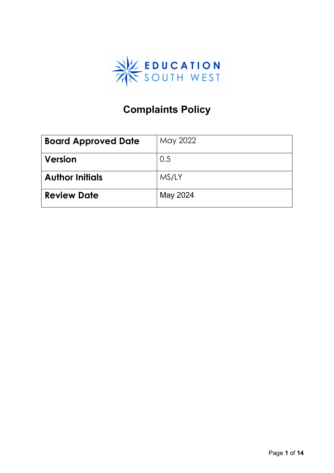

# **Complaints Policy**

| <b>Board Approved Date</b> | May 2022 |
|----------------------------|----------|
| Version                    | 0.5      |
| <b>Author Initials</b>     | MS/LY    |
| <b>Review Date</b>         | May 2024 |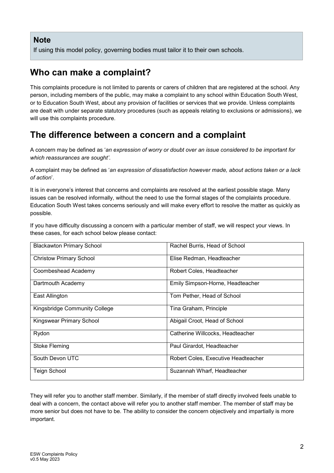#### **Note**

If using this model policy, governing bodies must tailor it to their own schools.

## **Who can make a complaint?**

This complaints procedure is not limited to parents or carers of children that are registered at the school. Any person, including members of the public, may make a complaint to any school within Education South West, or to Education South West, about any provision of facilities or services that we provide. Unless complaints are dealt with under separate statutory procedures (such as appeals relating to exclusions or admissions), we will use this complaints procedure.

## **The difference between a concern and a complaint**

A concern may be defined as '*an expression of worry or doubt over an issue considered to be important for which reassurances are sought'*.

A complaint may be defined as '*an expression of dissatisfaction however made, about actions taken or a lack of action*'.

It is in everyone's interest that concerns and complaints are resolved at the earliest possible stage. Many issues can be resolved informally, without the need to use the formal stages of the complaints procedure. Education South West takes concerns seriously and will make every effort to resolve the matter as quickly as possible.

If you have difficulty discussing a concern with a particular member of staff, we will respect your views. In these cases, for each school below please contact:

| <b>Blackawton Primary School</b> | Rachel Burris, Head of School       |
|----------------------------------|-------------------------------------|
| <b>Christow Primary School</b>   | Elise Redman, Headteacher           |
| Coombeshead Academy              | Robert Coles, Headteacher           |
| Dartmouth Academy                | Emily Simpson-Horne, Headteacher    |
| East Allington                   | Tom Pether, Head of School          |
| Kingsbridge Community College    | Tina Graham, Principle              |
| Kingswear Primary School         | Abigail Croot, Head of School       |
| Rydon                            | Catherine Willcocks, Headteacher    |
| <b>Stoke Fleming</b>             | Paul Girardot, Headteacher          |
| South Devon UTC                  | Robert Coles, Executive Headteacher |
| Teign School                     | Suzannah Wharf, Headteacher         |

They will refer you to another staff member. Similarly, if the member of staff directly involved feels unable to deal with a concern, the contact above will refer you to another staff member. The member of staff may be more senior but does not have to be. The ability to consider the concern objectively and impartially is more important.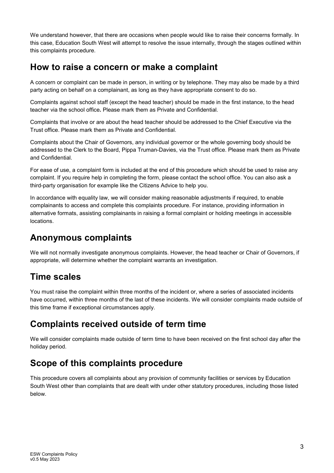We understand however, that there are occasions when people would like to raise their concerns formally. In this case, Education South West will attempt to resolve the issue internally, through the stages outlined within this complaints procedure.

### **How to raise a concern or make a complaint**

A concern or complaint can be made in person, in writing or by telephone. They may also be made by a third party acting on behalf on a complainant, as long as they have appropriate consent to do so.

Complaints against school staff (except the head teacher) should be made in the first instance, to the head teacher via the school office*.* Please mark them as Private and Confidential.

Complaints that involve or are about the head teacher should be addressed to the Chief Executive via the Trust office. Please mark them as Private and Confidential.

Complaints about the Chair of Governors, any individual governor or the whole governing body should be addressed to the Clerk to the Board, Pippa Truman-Davies, via the Trust office. Please mark them as Private and Confidential.

For ease of use, a complaint form is included at the end of this procedure which should be used to raise any complaint. If you require help in completing the form, please contact the school office. You can also ask a third-party organisation for example like the Citizens Advice to help you.

In accordance with equality law, we will consider making reasonable adjustments if required, to enable complainants to access and complete this complaints procedure. For instance, providing information in alternative formats, assisting complainants in raising a formal complaint or holding meetings in accessible locations.

## **Anonymous complaints**

We will not normally investigate anonymous complaints. However, the head teacher or Chair of Governors, if appropriate, will determine whether the complaint warrants an investigation.

## **Time scales**

You must raise the complaint within three months of the incident or, where a series of associated incidents have occurred, within three months of the last of these incidents. We will consider complaints made outside of this time frame if exceptional circumstances apply.

## **Complaints received outside of term time**

We will consider complaints made outside of term time to have been received on the first school day after the holiday period.

## **Scope of this complaints procedure**

This procedure covers all complaints about any provision of community facilities or services by Education South West other than complaints that are dealt with under other statutory procedures, including those listed below.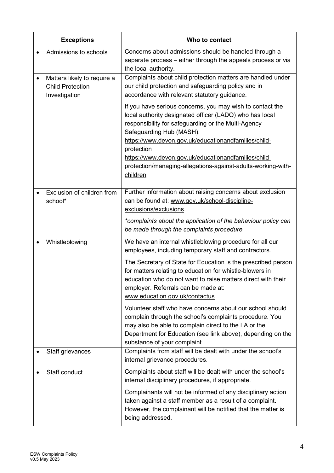| <b>Exceptions</b>                                                       | Who to contact                                                                                                                                                                                                                                                                                                                                                                                                    |
|-------------------------------------------------------------------------|-------------------------------------------------------------------------------------------------------------------------------------------------------------------------------------------------------------------------------------------------------------------------------------------------------------------------------------------------------------------------------------------------------------------|
| Admissions to schools                                                   | Concerns about admissions should be handled through a<br>separate process – either through the appeals process or via<br>the local authority.                                                                                                                                                                                                                                                                     |
| Matters likely to require a<br><b>Child Protection</b><br>Investigation | Complaints about child protection matters are handled under<br>our child protection and safeguarding policy and in<br>accordance with relevant statutory guidance.                                                                                                                                                                                                                                                |
|                                                                         | If you have serious concerns, you may wish to contact the<br>local authority designated officer (LADO) who has local<br>responsibility for safeguarding or the Multi-Agency<br>Safeguarding Hub (MASH).<br>https://www.devon.gov.uk/educationandfamilies/child-<br>protection<br>https://www.devon.gov.uk/educationandfamilies/child-<br>protection/managing-allegations-against-adults-working-with-<br>children |
| Exclusion of children from<br>school*                                   | Further information about raising concerns about exclusion<br>can be found at: www.gov.uk/school-discipline-<br>exclusions/exclusions.<br>*complaints about the application of the behaviour policy can                                                                                                                                                                                                           |
| Whistleblowing                                                          | be made through the complaints procedure.<br>We have an internal whistleblowing procedure for all our                                                                                                                                                                                                                                                                                                             |
|                                                                         | employees, including temporary staff and contractors.                                                                                                                                                                                                                                                                                                                                                             |
|                                                                         | The Secretary of State for Education is the prescribed person<br>for matters relating to education for whistle-blowers in<br>education who do not want to raise matters direct with their<br>employer. Referrals can be made at:<br>www.education.gov.uk/contactus.                                                                                                                                               |
|                                                                         | Volunteer staff who have concerns about our school should<br>complain through the school's complaints procedure. You<br>may also be able to complain direct to the LA or the<br>Department for Education (see link above), depending on the<br>substance of your complaint.                                                                                                                                       |
| Staff grievances                                                        | Complaints from staff will be dealt with under the school's<br>internal grievance procedures.                                                                                                                                                                                                                                                                                                                     |
| Staff conduct                                                           | Complaints about staff will be dealt with under the school's<br>internal disciplinary procedures, if appropriate.                                                                                                                                                                                                                                                                                                 |
|                                                                         | Complainants will not be informed of any disciplinary action<br>taken against a staff member as a result of a complaint.<br>However, the complainant will be notified that the matter is<br>being addressed.                                                                                                                                                                                                      |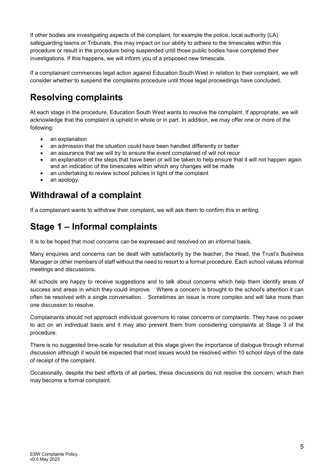If other bodies are investigating aspects of the complaint, for example the police, local authority (LA) safeguarding teams or Tribunals, this may impact on our ability to adhere to the timescales within this procedure or result in the procedure being suspended until those public bodies have completed their investigations. If this happens, we will inform you of a proposed new timescale.

If a complainant commences legal action against Education South West in relation to their complaint, we will consider whether to suspend the complaints procedure until those legal proceedings have concluded.

## **Resolving complaints**

At each stage in the procedure, Education South West wants to resolve the complaint. If appropriate, we will acknowledge that the complaint is upheld in whole or in part. In addition, we may offer one or more of the following:

- an explanation
- an admission that the situation could have been handled differently or better
- an assurance that we will try to ensure the event complained of will not recur
- an explanation of the steps that have been or will be taken to help ensure that it will not happen again and an indication of the timescales within which any changes will be made
- an undertaking to review school policies in light of the complaint
- an apology.

## **Withdrawal of a complaint**

If a complainant wants to withdraw their complaint, we will ask them to confirm this in writing.

## **Stage 1 – Informal complaints**

It is to be hoped that most concerns can be expressed and resolved on an informal basis.

Many enquiries and concerns can be dealt with satisfactorily by the teacher, the Head, the Trust's Business Manager or other members of staff without the need to resort to a formal procedure. Each school values informal meetings and discussions.

All schools are happy to receive suggestions and to talk about concerns which help them identify areas of success and areas in which they could improve. Where a concern is brought to the school's attention it can often be resolved with a single conversation. Sometimes an issue is more complex and will take more than one discussion to resolve.

Complainants should not approach individual governors to raise concerns or complaints. They have no power to act on an individual basis and it may also prevent them from considering complaints at Stage 3 of the procedure.

There is no suggested time-scale for resolution at this stage given the importance of dialogue through informal discussion although it would be expected that most issues would be resolved within 10 school days of the date of receipt of the complaint.

Occasionally, despite the best efforts of all parties, these discussions do not resolve the concern, which then may become a formal complaint.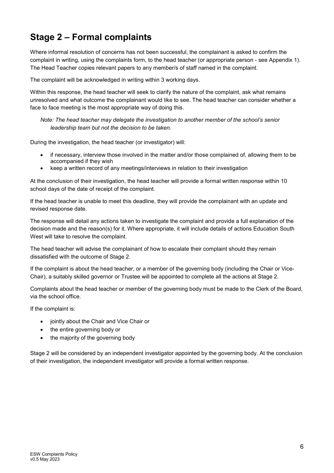# **Stage 2 – Formal complaints**

Where informal resolution of concerns has not been successful, the complainant is asked to confirm the complaint in writing, using the complaints form, to the head teacher (or appropriate person - see Appendix 1). The Head Teacher copies relevant papers to any member/s of staff named in the complaint.

The complaint will be acknowledged in writing within 3 working days.

Within this response, the head teacher will seek to clarify the nature of the complaint, ask what remains unresolved and what outcome the complainant would like to see. The head teacher can consider whether a face to face meeting is the most appropriate way of doing this.

*Note: The head teacher may delegate the investigation to another member of the school's senior leadership team but not the decision to be taken.*

During the investigation, the head teacher (or investigator) will:

- if necessary, interview those involved in the matter and/or those complained of, allowing them to be accompanied if they wish
- keep a written record of any meetings/interviews in relation to their investigation

At the conclusion of their investigation, the head teacher will provide a formal written response within 10 school days of the date of receipt of the complaint.

If the head teacher is unable to meet this deadline, they will provide the complainant with an update and revised response date.

The response will detail any actions taken to investigate the complaint and provide a full explanation of the decision made and the reason(s) for it. Where appropriate, it will include details of actions Education South West will take to resolve the complaint.

The head teacher will advise the complainant of how to escalate their complaint should they remain dissatisfied with the outcome of Stage 2.

If the complaint is about the head teacher, or a member of the governing body (including the Chair or Vice-Chair), a suitably skilled governor or Trustee will be appointed to complete all the actions at Stage 2.

Complaints about the head teacher or member of the governing body must be made to the Clerk of the Board, via the school office.

If the complaint is:

- jointly about the Chair and Vice Chair or
- the entire governing body or
- the majority of the governing body

Stage 2 will be considered by an independent investigator appointed by the governing body. At the conclusion of their investigation, the independent investigator will provide a formal written response.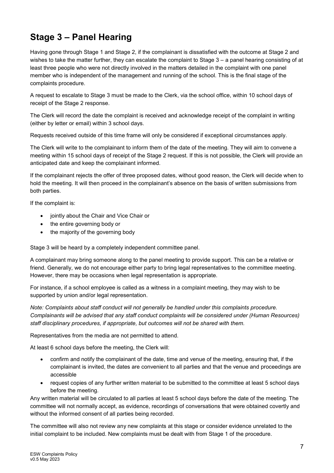# **Stage 3 – Panel Hearing**

Having gone through Stage 1 and Stage 2, if the complainant is dissatisfied with the outcome at Stage 2 and wishes to take the matter further, they can escalate the complaint to Stage 3 – a panel hearing consisting of at least three people who were not directly involved in the matters detailed in the complaint with one panel member who is independent of the management and running of the school. This is the final stage of the complaints procedure.

A request to escalate to Stage 3 must be made to the Clerk, via the school office, within 10 school days of receipt of the Stage 2 response.

The Clerk will record the date the complaint is received and acknowledge receipt of the complaint in writing (either by letter or email) within 3 school days.

Requests received outside of this time frame will only be considered if exceptional circumstances apply.

The Clerk will write to the complainant to inform them of the date of the meeting. They will aim to convene a meeting within 15 school days of receipt of the Stage 2 request. If this is not possible, the Clerk will provide an anticipated date and keep the complainant informed.

If the complainant rejects the offer of three proposed dates, without good reason, the Clerk will decide when to hold the meeting. It will then proceed in the complainant's absence on the basis of written submissions from both parties.

If the complaint is:

- jointly about the Chair and Vice Chair or
- the entire governing body or
- the majority of the governing body

Stage 3 will be heard by a completely independent committee panel.

A complainant may bring someone along to the panel meeting to provide support. This can be a relative or friend. Generally, we do not encourage either party to bring legal representatives to the committee meeting. However, there may be occasions when legal representation is appropriate.

For instance, if a school employee is called as a witness in a complaint meeting, they may wish to be supported by union and/or legal representation.

*Note: Complaints about staff conduct will not generally be handled under this complaints procedure. Complainants will be advised that any staff conduct complaints will be considered under (Human Resources) staff disciplinary procedures, if appropriate, but outcomes will not be shared with them.* 

Representatives from the media are not permitted to attend.

At least 6 school days before the meeting, the Clerk will:

- confirm and notify the complainant of the date, time and venue of the meeting, ensuring that, if the complainant is invited, the dates are convenient to all parties and that the venue and proceedings are accessible
- request copies of any further written material to be submitted to the committee at least 5 school days before the meeting.

Any written material will be circulated to all parties at least 5 school days before the date of the meeting. The committee will not normally accept, as evidence, recordings of conversations that were obtained covertly and without the informed consent of all parties being recorded.

The committee will also not review any new complaints at this stage or consider evidence unrelated to the initial complaint to be included. New complaints must be dealt with from Stage 1 of the procedure.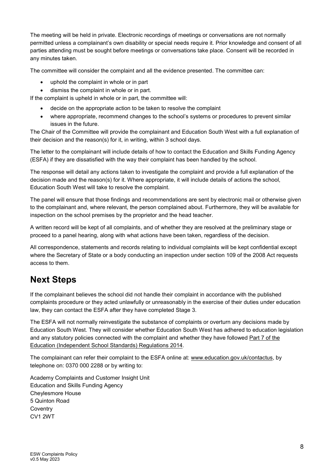The meeting will be held in private. Electronic recordings of meetings or conversations are not normally permitted unless a complainant's own disability or special needs require it. Prior knowledge and consent of all parties attending must be sought before meetings or conversations take place. Consent will be recorded in any minutes taken.

The committee will consider the complaint and all the evidence presented. The committee can:

- uphold the complaint in whole or in part
- dismiss the complaint in whole or in part.

If the complaint is upheld in whole or in part, the committee will:

- decide on the appropriate action to be taken to resolve the complaint
- where appropriate, recommend changes to the school's systems or procedures to prevent similar issues in the future.

The Chair of the Committee will provide the complainant and Education South West with a full explanation of their decision and the reason(s) for it, in writing, within 3 school days.

The letter to the complainant will include details of how to contact the Education and Skills Funding Agency (ESFA) if they are dissatisfied with the way their complaint has been handled by the school.

The response will detail any actions taken to investigate the complaint and provide a full explanation of the decision made and the reason(s) for it. Where appropriate, it will include details of actions the school, Education South West will take to resolve the complaint.

The panel will ensure that those findings and recommendations are sent by electronic mail or otherwise given to the complainant and, where relevant, the person complained about. Furthermore, they will be available for inspection on the school premises by the proprietor and the head teacher.

A written record will be kept of all complaints, and of whether they are resolved at the preliminary stage or proceed to a panel hearing, along with what actions have been taken, regardless of the decision.

All correspondence, statements and records relating to individual complaints will be kept confidential except where the Secretary of State or a body conducting an inspection under section 109 of the 2008 Act requests access to them.

## **Next Steps**

If the complainant believes the school did not handle their complaint in accordance with the published complaints procedure or they acted unlawfully or unreasonably in the exercise of their duties under education law, they can contact the ESFA after they have completed Stage 3.

The ESFA will not normally reinvestigate the substance of complaints or overturn any decisions made by Education South West. They will consider whether Education South West has adhered to education legislation and any statutory policies connected with the complaint and whether they have followed [Part 7 of the](http://www.legislation.gov.uk/uksi/2010/1997/schedule/1/made)  [Education \(Independent School Standards\) Regulations 2014.](http://www.legislation.gov.uk/uksi/2010/1997/schedule/1/made)

The complainant can refer their complaint to the ESFA online at: [www.education.gov.uk/contactus,](http://www.education.gov.uk/contactus) by telephone on: 0370 000 2288 or by writing to:

Academy Complaints and Customer Insight Unit Education and Skills Funding Agency Cheylesmore House 5 Quinton Road **Coventry** CV1 2WT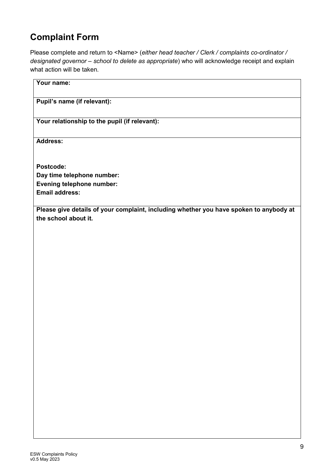# **Complaint Form**

Please complete and return to <Name> (*either head teacher / Clerk / complaints co-ordinator / designated governor – school to delete as appropriate*) who will acknowledge receipt and explain what action will be taken.

| Your name:                                                                             |
|----------------------------------------------------------------------------------------|
| Pupil's name (if relevant):                                                            |
| Your relationship to the pupil (if relevant):                                          |
| Address:                                                                               |
| Postcode:                                                                              |
| Day time telephone number:                                                             |
| Evening telephone number:                                                              |
| <b>Email address:</b>                                                                  |
| Please give details of your complaint, including whether you have spoken to anybody at |
| the school about it.                                                                   |
|                                                                                        |
|                                                                                        |
|                                                                                        |
|                                                                                        |
|                                                                                        |
|                                                                                        |
|                                                                                        |
|                                                                                        |
|                                                                                        |
|                                                                                        |
|                                                                                        |
|                                                                                        |
|                                                                                        |
|                                                                                        |
|                                                                                        |
|                                                                                        |
|                                                                                        |
|                                                                                        |
|                                                                                        |
|                                                                                        |
|                                                                                        |
|                                                                                        |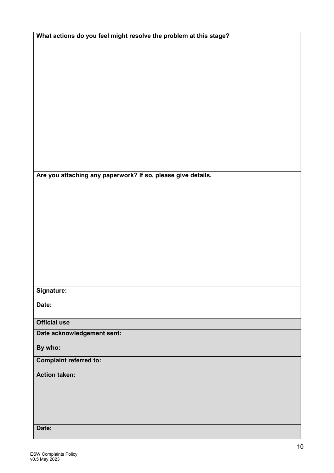| What actions do you feel might resolve the problem at this stage? |  |
|-------------------------------------------------------------------|--|
|-------------------------------------------------------------------|--|

**Are you attaching any paperwork? If so, please give details.**

### **Signature:**

**Date:**

**Official use**

**Date acknowledgement sent:**

#### **By who:**

#### **Complaint referred to:**

**Action taken:** 

#### **Date:**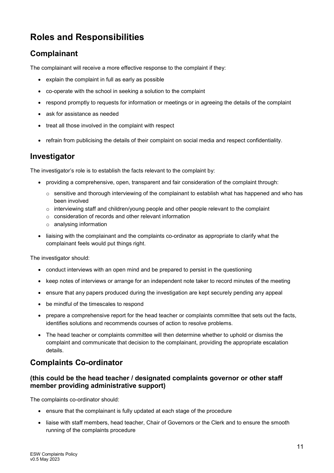## **Roles and Responsibilities**

### **Complainant**

The complainant will receive a more effective response to the complaint if they:

- explain the complaint in full as early as possible
- co-operate with the school in seeking a solution to the complaint
- respond promptly to requests for information or meetings or in agreeing the details of the complaint
- ask for assistance as needed
- treat all those involved in the complaint with respect
- refrain from publicising the details of their complaint on social media and respect confidentiality.

#### **Investigator**

The investigator's role is to establish the facts relevant to the complaint by:

- providing a comprehensive, open, transparent and fair consideration of the complaint through:
	- $\circ$  sensitive and thorough interviewing of the complainant to establish what has happened and who has been involved
	- $\circ$  interviewing staff and children/young people and other people relevant to the complaint
	- o consideration of records and other relevant information
	- o analysing information
- liaising with the complainant and the complaints co-ordinator as appropriate to clarify what the complainant feels would put things right.

The investigator should:

- conduct interviews with an open mind and be prepared to persist in the questioning
- keep notes of interviews or arrange for an independent note taker to record minutes of the meeting
- ensure that any papers produced during the investigation are kept securely pending any appeal
- be mindful of the timescales to respond
- prepare a comprehensive report for the head teacher or complaints committee that sets out the facts, identifies solutions and recommends courses of action to resolve problems.
- The head teacher or complaints committee will then determine whether to uphold or dismiss the complaint and communicate that decision to the complainant, providing the appropriate escalation details.

### **Complaints Co-ordinator**

#### **(this could be the head teacher / designated complaints governor or other staff member providing administrative support)**

The complaints co-ordinator should:

- ensure that the complainant is fully updated at each stage of the procedure
- liaise with staff members, head teacher, Chair of Governors or the Clerk and to ensure the smooth running of the complaints procedure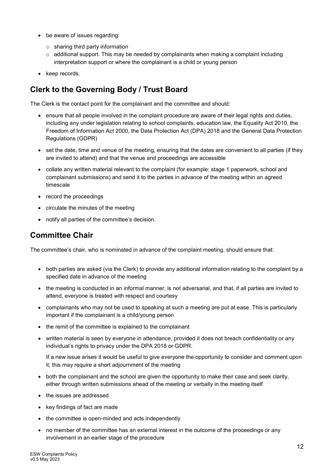- be aware of issues regarding:
	- o sharing third party information
	- $\circ$  additional support. This may be needed by complainants when making a complaint including interpretation support or where the complainant is a child or young person
- keep records.

### **Clerk to the Governing Body / Trust Board**

The Clerk is the contact point for the complainant and the committee and should:

- ensure that all people involved in the complaint procedure are aware of their legal rights and duties, including any under legislation relating to school complaints, education law, the Equality Act 2010, the Freedom of Information Act 2000, the Data Protection Act (DPA) 2018 and the General Data Protection Regulations (GDPR)
- set the date, time and venue of the meeting, ensuring that the dates are convenient to all parties (if they are invited to attend) and that the venue and proceedings are accessible
- collate any written material relevant to the complaint (for example: stage 1 paperwork, school and complainant submissions) and send it to the parties in advance of the meeting within an agreed timescale
- record the proceedings
- circulate the minutes of the meeting
- notify all parties of the committee's decision.

### **Committee Chair**

The committee's chair, who is nominated in advance of the complaint meeting, should ensure that:

- both parties are asked (via the Clerk) to provide any additional information relating to the complaint by a specified date in advance of the meeting
- the meeting is conducted in an informal manner, is not adversarial, and that, if all parties are invited to attend, everyone is treated with respect and courtesy
- complainants who may not be used to speaking at such a meeting are put at ease. This is particularly important if the complainant is a child/young person
- the remit of the committee is explained to the complainant
- written material is seen by everyone in attendance, provided it does not breach confidentiality or any individual's rights to privacy under the DPA 2018 or GDPR.

If a new issue arises it would be useful to give everyone the opportunity to consider and comment upon it; this may require a short adjournment of the meeting

- both the complainant and the school are given the opportunity to make their case and seek clarity, either through written submissions ahead of the meeting or verbally in the meeting itself
- the issues are addressed
- key findings of fact are made
- the committee is open-minded and acts independently
- no member of the committee has an external interest in the outcome of the proceedings or any involvement in an earlier stage of the procedure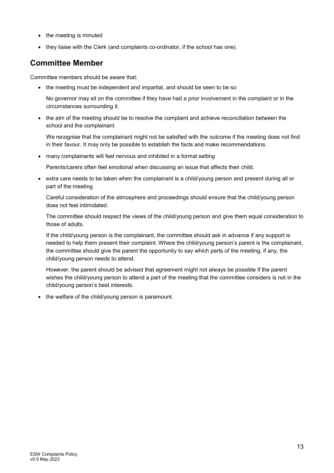- the meeting is minuted
- they liaise with the Clerk (and complaints co-ordinator, if the school has one).

### **Committee Member**

Committee members should be aware that:

- the meeting must be independent and impartial, and should be seen to be so
	- No governor may sit on the committee if they have had a prior involvement in the complaint or in the circumstances surrounding it.
- the aim of the meeting should be to resolve the complaint and achieve reconciliation between the school and the complainant

We recognise that the complainant might not be satisfied with the outcome if the meeting does not find in their favour. It may only be possible to establish the facts and make recommendations.

• many complainants will feel nervous and inhibited in a formal setting

Parents/carers often feel emotional when discussing an issue that affects their child.

• extra care needs to be taken when the complainant is a child/young person and present during all or part of the meeting

Careful consideration of the atmosphere and proceedings should ensure that the child/young person does not feel intimidated.

The committee should respect the views of the child/young person and give them equal consideration to those of adults.

If the child/young person is the complainant, the committee should ask in advance if any support is needed to help them present their complaint. Where the child/young person's parent is the complainant, the committee should give the parent the opportunity to say which parts of the meeting, if any, the child/young person needs to attend.

However, the parent should be advised that agreement might not always be possible if the parent wishes the child/young person to attend a part of the meeting that the committee considers is not in the child/young person's best interests.

the welfare of the child/young person is paramount.